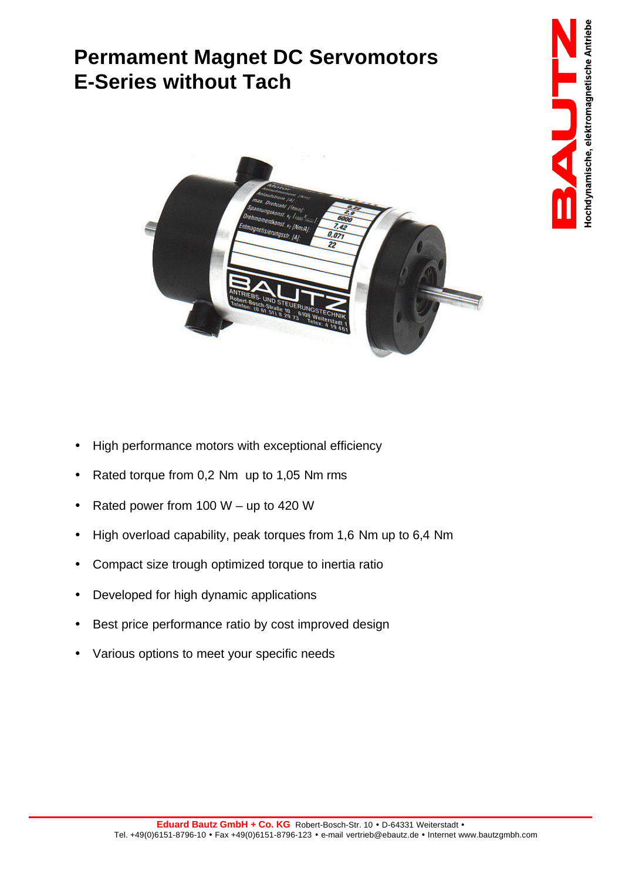## **Permament Magnet DC Servomotors E-Series without Tach**



- High performance motors with exceptional efficiency
- Rated torque from 0,2 Nm up to 1,05 Nm rms
- Rated power from 100  $W up$  to 420 W
- High overload capability, peak torques from 1,6 Nm up to 6,4 Nm
- Compact size trough optimized torque to inertia ratio
- Developed for high dynamic applications
- Best price performance ratio by cost improved design
- Various options to meet your specific needs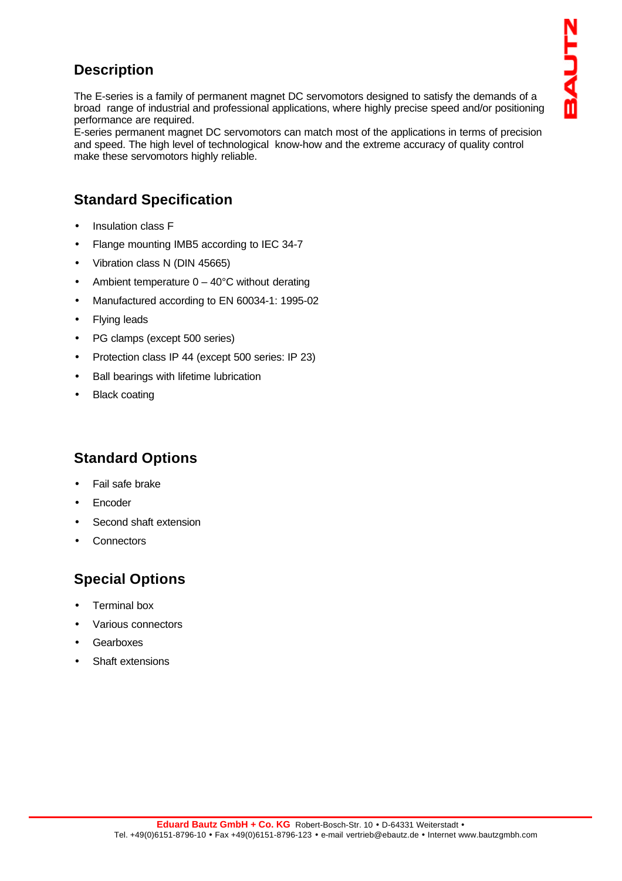### **Description**

The E-series is a family of permanent magnet DC servomotors designed to satisfy the demands of a broad range of industrial and professional applications, where highly precise speed and/or positioning performance are required.

E-series permanent magnet DC servomotors can match most of the applications in terms of precision and speed. The high level of technological know-how and the extreme accuracy of quality control make these servomotors highly reliable.

### **Standard Specification**

- Insulation class F
- Flange mounting IMB5 according to IEC 34-7
- Vibration class N (DIN 45665)
- Ambient temperature  $0 40^{\circ}$ C without derating
- Manufactured according to EN 60034-1: 1995-02
- **Flying leads**
- PG clamps (except 500 series)
- Protection class IP 44 (except 500 series: IP 23)
- Ball bearings with lifetime lubrication
- **Black coating**

#### **Standard Options**

- Fail safe brake
- **Encoder**
- Second shaft extension
- **Connectors**

### **Special Options**

- Terminal box
- Various connectors
- **Gearboxes**
- Shaft extensions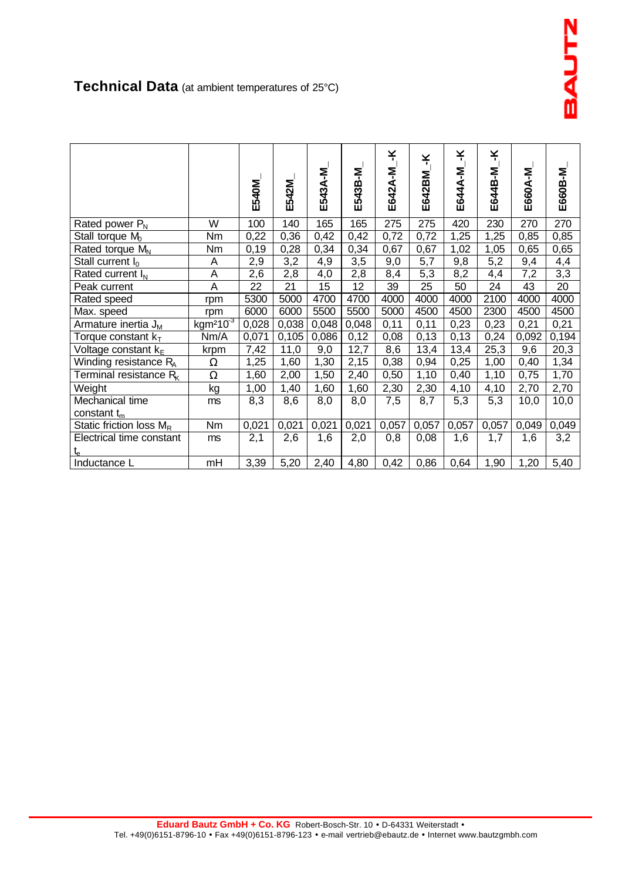**Technical Data** (at ambient temperatures of 25°C)

|                                    |                     | E540M | E542M | E543A-M | E543B-M | ¥<br>E642A-M | ¥<br>E642BM | ¥<br>E644A-M | ¥<br>E644B-M | E660A-M | E660B-M |
|------------------------------------|---------------------|-------|-------|---------|---------|--------------|-------------|--------------|--------------|---------|---------|
| Rated power $P_N$                  | W                   | 100   | 140   | 165     | 165     | 275          | 275         | 420          | 230          | 270     | 270     |
| Stall torque $M_0$                 | Nm                  | 0,22  | 0,36  | 0,42    | 0,42    | 0,72         | 0,72        | 1,25         | 1,25         | 0,85    | 0,85    |
| Rated torque $M_N$                 | Nm                  | 0,19  | 0,28  | 0,34    | 0,34    | 0,67         | 0,67        | 1,02         | 1,05         | 0,65    | 0,65    |
| Stall current $I_0$                | Α                   | 2,9   | 3,2   | 4,9     | 3,5     | 9,0          | 5,7         | 9,8          | 5,2          | 9,4     | 4,4     |
| Rated current $I_N$                | A                   | 2,6   | 2,8   | 4,0     | 2,8     | 8,4          | 5,3         | 8,2          | 4,4          | 7,2     | 3,3     |
| Peak current                       | Α                   | 22    | 21    | 15      | 12      | 39           | 25          | 50           | 24           | 43      | 20      |
| Rated speed                        | rpm                 | 5300  | 5000  | 4700    | 4700    | 4000         | 4000        | 4000         | 2100         | 4000    | 4000    |
| Max. speed                         | rpm                 | 6000  | 6000  | 5500    | 5500    | 5000         | 4500        | 4500         | 2300         | 4500    | 4500    |
| Armature inertia J <sub>M</sub>    | kgm <sup>2103</sup> | 0,028 | 0,038 | 0,048   | 0,048   | 0,11         | 0,11        | 0,23         | 0,23         | 0,21    | 0,21    |
| Torque constant $k_T$              | Nm/A                | 0,071 | 0,105 | 0,086   | 0,12    | 0,08         | 0,13        | 0,13         | 0,24         | 0,092   | 0,194   |
| Voltage constant $k_E$             | krpm                | 7,42  | 11,0  | 9,0     | 12,7    | 8,6          | 13,4        | 13,4         | 25,3         | 9,6     | 20,3    |
| Winding resistance R <sub>A</sub>  | Ω                   | 1,25  | 1,60  | 1,30    | 2,15    | 0,38         | 0,94        | 0,25         | 1,00         | 0,40    | 1,34    |
| Terminal resistance R <sub>K</sub> | $\Omega$            | 1,60  | 2,00  | 1,50    | 2,40    | 0,50         | 1,10        | 0,40         | 1,10         | 0,75    | 1,70    |
| Weight                             | kg                  | 1,00  | 1,40  | 1,60    | 1,60    | 2,30         | 2,30        | 4,10         | 4,10         | 2,70    | 2,70    |
| Mechanical time                    | ms                  | 8,3   | 8,6   | 8,0     | 8,0     | 7,5          | 8,7         | 5,3          | 5,3          | 10,0    | 10,0    |
| constant $t_m$                     |                     |       |       |         |         |              |             |              |              |         |         |
| Static friction loss $M_R$         | Nm                  | 0,021 | 0,021 | 0,021   | 0,021   | 0,057        | 0,057       | 0,057        | 0,057        | 0,049   | 0,049   |
| Electrical time constant           | ms                  | 2,1   | 2,6   | 1,6     | 2,0     | 0,8          | 0,08        | 1,6          | 1,7          | 1,6     | 3,2     |
| $t_e$                              |                     |       |       |         |         |              |             |              |              |         |         |
| Inductance L                       | mH                  | 3,39  | 5,20  | 2,40    | 4,80    | 0,42         | 0,86        | 0,64         | 1,90         | 1,20    | 5,40    |